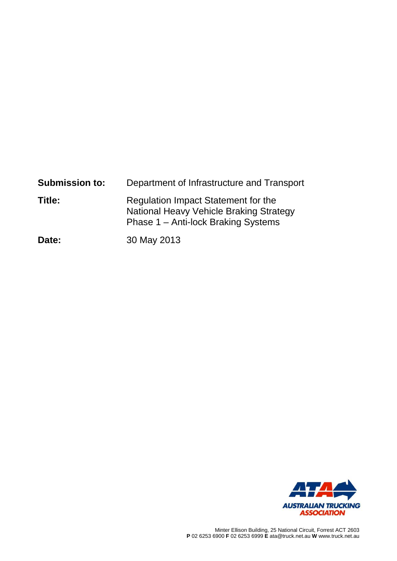| <b>Submission to:</b> | Department of Infrastructure and Transport                                                                            |
|-----------------------|-----------------------------------------------------------------------------------------------------------------------|
| Title:                | Regulation Impact Statement for the<br>National Heavy Vehicle Braking Strategy<br>Phase 1 – Anti-lock Braking Systems |
| Date:                 | 30 May 2013                                                                                                           |

**577** 17 **AUSTRALIAN TRUCKING<br>ASSOCIATION**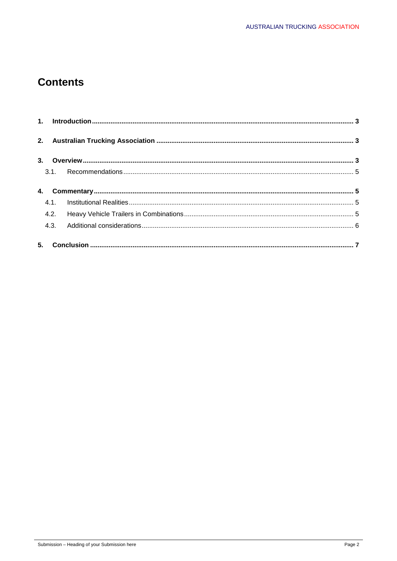# **Contents**

|    | 4.3. |  |  |
|----|------|--|--|
| 5. |      |  |  |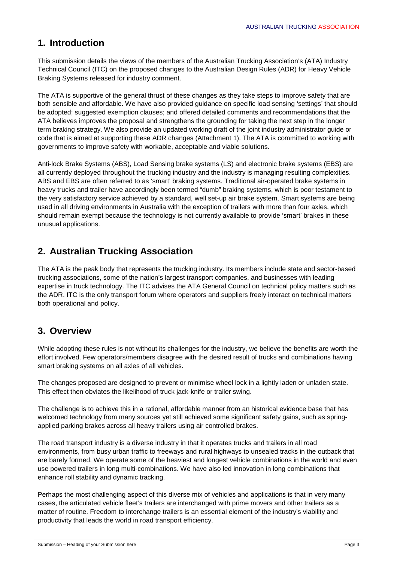## **1. Introduction**

This submission details the views of the members of the Australian Trucking Association's (ATA) Industry Technical Council (ITC) on the proposed changes to the Australian Design Rules (ADR) for Heavy Vehicle Braking Systems released for industry comment.

The ATA is supportive of the general thrust of these changes as they take steps to improve safety that are both sensible and affordable. We have also provided guidance on specific load sensing 'settings' that should be adopted; suggested exemption clauses; and offered detailed comments and recommendations that the ATA believes improves the proposal and strengthens the grounding for taking the next step in the longer term braking strategy. We also provide an updated working draft of the joint industry administrator guide or code that is aimed at supporting these ADR changes (Attachment 1). The ATA is committed to working with governments to improve safety with workable, acceptable and viable solutions.

Anti-lock Brake Systems (ABS), Load Sensing brake systems (LS) and electronic brake systems (EBS) are all currently deployed throughout the trucking industry and the industry is managing resulting complexities. ABS and EBS are often referred to as 'smart' braking systems. Traditional air-operated brake systems in heavy trucks and trailer have accordingly been termed "dumb" braking systems, which is poor testament to the very satisfactory service achieved by a standard, well set-up air brake system. Smart systems are being used in all driving environments in Australia with the exception of trailers with more than four axles, which should remain exempt because the technology is not currently available to provide 'smart' brakes in these unusual applications.

## **2. Australian Trucking Association**

The ATA is the peak body that represents the trucking industry. Its members include state and sector-based trucking associations, some of the nation's largest transport companies, and businesses with leading expertise in truck technology. The ITC advises the ATA General Council on technical policy matters such as the ADR. ITC is the only transport forum where operators and suppliers freely interact on technical matters both operational and policy.

## **3. Overview**

While adopting these rules is not without its challenges for the industry, we believe the benefits are worth the effort involved. Few operators/members disagree with the desired result of trucks and combinations having smart braking systems on all axles of all vehicles.

The changes proposed are designed to prevent or minimise wheel lock in a lightly laden or unladen state. This effect then obviates the likelihood of truck jack-knife or trailer swing.

The challenge is to achieve this in a rational, affordable manner from an historical evidence base that has welcomed technology from many sources yet still achieved some significant safety gains, such as springapplied parking brakes across all heavy trailers using air controlled brakes.

The road transport industry is a diverse industry in that it operates trucks and trailers in all road environments, from busy urban traffic to freeways and rural highways to unsealed tracks in the outback that are barely formed. We operate some of the heaviest and longest vehicle combinations in the world and even use powered trailers in long multi-combinations. We have also led innovation in long combinations that enhance roll stability and dynamic tracking.

Perhaps the most challenging aspect of this diverse mix of vehicles and applications is that in very many cases, the articulated vehicle fleet's trailers are interchanged with prime movers and other trailers as a matter of routine. Freedom to interchange trailers is an essential element of the industry's viability and productivity that leads the world in road transport efficiency.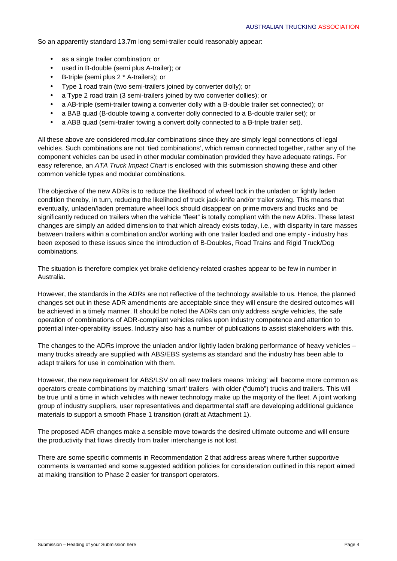So an apparently standard 13.7m long semi-trailer could reasonably appear:

- as a single trailer combination; or
- used in B-double (semi plus A-trailer); or
- B-triple (semi plus 2 \* A-trailers); or
- Type 1 road train (two semi-trailers joined by converter dolly); or
- a Type 2 road train (3 semi-trailers joined by two converter dollies); or
- a AB-triple (semi-trailer towing a converter dolly with a B-double trailer set connected); or
- a BAB quad (B-double towing a converter dolly connected to a B-double trailer set); or
- a ABB quad (semi-trailer towing a convert dolly connected to a B-triple trailer set).

All these above are considered modular combinations since they are simply legal connections of legal vehicles. Such combinations are not 'tied combinations', which remain connected together, rather any of the component vehicles can be used in other modular combination provided they have adequate ratings. For easy reference, an ATA Truck Impact Chart is enclosed with this submission showing these and other common vehicle types and modular combinations.

The objective of the new ADRs is to reduce the likelihood of wheel lock in the unladen or lightly laden condition thereby, in turn, reducing the likelihood of truck jack-knife and/or trailer swing. This means that eventually, unladen/laden premature wheel lock should disappear on prime movers and trucks and be significantly reduced on trailers when the vehicle "fleet" is totally compliant with the new ADRs. These latest changes are simply an added dimension to that which already exists today, i.e., with disparity in tare masses between trailers within a combination and/or working with one trailer loaded and one empty - industry has been exposed to these issues since the introduction of B-Doubles, Road Trains and Rigid Truck/Dog combinations.

The situation is therefore complex yet brake deficiency-related crashes appear to be few in number in Australia.

However, the standards in the ADRs are not reflective of the technology available to us. Hence, the planned changes set out in these ADR amendments are acceptable since they will ensure the desired outcomes will be achieved in a timely manner. It should be noted the ADRs can only address single vehicles, the safe operation of combinations of ADR-compliant vehicles relies upon industry competence and attention to potential inter-operability issues. Industry also has a number of publications to assist stakeholders with this.

The changes to the ADRs improve the unladen and/or lightly laden braking performance of heavy vehicles – many trucks already are supplied with ABS/EBS systems as standard and the industry has been able to adapt trailers for use in combination with them.

However, the new requirement for ABS/LSV on all new trailers means 'mixing' will become more common as operators create combinations by matching 'smart' trailers with older ("dumb") trucks and trailers. This will be true until a time in which vehicles with newer technology make up the majority of the fleet. A joint working group of industry suppliers, user representatives and departmental staff are developing additional guidance materials to support a smooth Phase 1 transition (draft at Attachment 1).

The proposed ADR changes make a sensible move towards the desired ultimate outcome and will ensure the productivity that flows directly from trailer interchange is not lost.

There are some specific comments in Recommendation 2 that address areas where further supportive comments is warranted and some suggested addition policies for consideration outlined in this report aimed at making transition to Phase 2 easier for transport operators.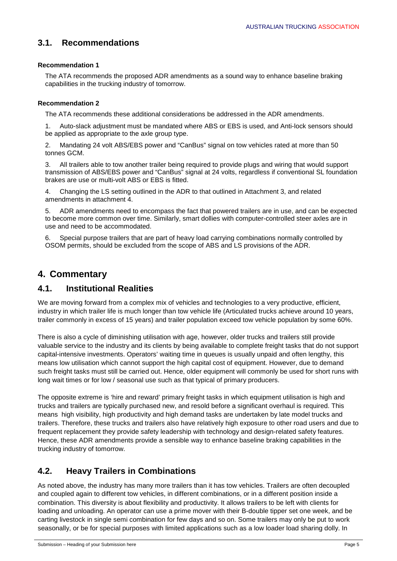### **3.1. Recommendations**

#### **Recommendation 1**

The ATA recommends the proposed ADR amendments as a sound way to enhance baseline braking capabilities in the trucking industry of tomorrow.

#### **Recommendation 2**

The ATA recommends these additional considerations be addressed in the ADR amendments.

1. Auto-slack adjustment must be mandated where ABS or EBS is used, and Anti-lock sensors should be applied as appropriate to the axle group type.

2. Mandating 24 volt ABS/EBS power and "CanBus" signal on tow vehicles rated at more than 50 tonnes GCM.

3. All trailers able to tow another trailer being required to provide plugs and wiring that would support transmission of ABS/EBS power and "CanBus" signal at 24 volts, regardless if conventional SL foundation brakes are use or multi-volt ABS or EBS is fitted.

4. Changing the LS setting outlined in the ADR to that outlined in Attachment 3, and related amendments in attachment 4.

5. ADR amendments need to encompass the fact that powered trailers are in use, and can be expected to become more common over time. Similarly, smart dollies with computer-controlled steer axles are in use and need to be accommodated.

6. Special purpose trailers that are part of heavy load carrying combinations normally controlled by OSOM permits, should be excluded from the scope of ABS and LS provisions of the ADR.

## **4. Commentary**

### **4.1. Institutional Realities**

We are moving forward from a complex mix of vehicles and technologies to a very productive, efficient, industry in which trailer life is much longer than tow vehicle life (Articulated trucks achieve around 10 years, trailer commonly in excess of 15 years) and trailer population exceed tow vehicle population by some 60%.

There is also a cycle of diminishing utilisation with age, however, older trucks and trailers still provide valuable service to the industry and its clients by being available to complete freight tasks that do not support capital-intensive investments. Operators' waiting time in queues is usually unpaid and often lengthy, this means low utilisation which cannot support the high capital cost of equipment. However, due to demand such freight tasks must still be carried out. Hence, older equipment will commonly be used for short runs with long wait times or for low / seasonal use such as that typical of primary producers.

The opposite extreme is 'hire and reward' primary freight tasks in which equipment utilisation is high and trucks and trailers are typically purchased new, and resold before a significant overhaul is required. This means high visibility, high productivity and high demand tasks are undertaken by late model trucks and trailers. Therefore, these trucks and trailers also have relatively high exposure to other road users and due to frequent replacement they provide safety leadership with technology and design-related safety features. Hence, these ADR amendments provide a sensible way to enhance baseline braking capabilities in the trucking industry of tomorrow.

### **4.2. Heavy Trailers in Combinations**

As noted above, the industry has many more trailers than it has tow vehicles. Trailers are often decoupled and coupled again to different tow vehicles, in different combinations, or in a different position inside a combination. This diversity is about flexibility and productivity. It allows trailers to be left with clients for loading and unloading. An operator can use a prime mover with their B-double tipper set one week, and be carting livestock in single semi combination for few days and so on. Some trailers may only be put to work seasonally, or be for special purposes with limited applications such as a low loader load sharing dolly. In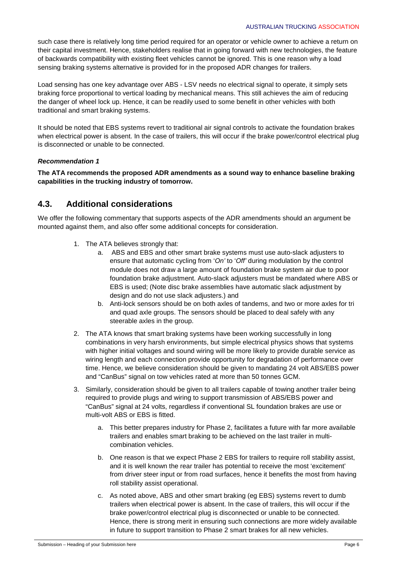such case there is relatively long time period required for an operator or vehicle owner to achieve a return on their capital investment. Hence, stakeholders realise that in going forward with new technologies, the feature of backwards compatibility with existing fleet vehicles cannot be ignored. This is one reason why a load sensing braking systems alternative is provided for in the proposed ADR changes for trailers.

Load sensing has one key advantage over ABS - LSV needs no electrical signal to operate, it simply sets braking force proportional to vertical loading by mechanical means. This still achieves the aim of reducing the danger of wheel lock up. Hence, it can be readily used to some benefit in other vehicles with both traditional and smart braking systems.

It should be noted that EBS systems revert to traditional air signal controls to activate the foundation brakes when electrical power is absent. In the case of trailers, this will occur if the brake power/control electrical plug is disconnected or unable to be connected.

#### **Recommendation 1**

**The ATA recommends the proposed ADR amendments as a sound way to enhance baseline braking capabilities in the trucking industry of tomorrow.** 

### **4.3. Additional considerations**

We offer the following commentary that supports aspects of the ADR amendments should an argument be mounted against them, and also offer some additional concepts for consideration.

- 1. The ATA believes strongly that:
	- a. ABS and EBS and other smart brake systems must use auto-slack adjusters to ensure that automatic cycling from 'On' to 'Off' during modulation by the control module does not draw a large amount of foundation brake system air due to poor foundation brake adjustment. Auto-slack adjusters must be mandated where ABS or EBS is used; (Note disc brake assemblies have automatic slack adjustment by design and do not use slack adjusters.) and
	- b. Anti-lock sensors should be on both axles of tandems, and two or more axles for tri and quad axle groups. The sensors should be placed to deal safely with any steerable axles in the group.
- 2. The ATA knows that smart braking systems have been working successfully in long combinations in very harsh environments, but simple electrical physics shows that systems with higher initial voltages and sound wiring will be more likely to provide durable service as wiring length and each connection provide opportunity for degradation of performance over time. Hence, we believe consideration should be given to mandating 24 volt ABS/EBS power and "CanBus" signal on tow vehicles rated at more than 50 tonnes GCM.
- 3. Similarly, consideration should be given to all trailers capable of towing another trailer being required to provide plugs and wiring to support transmission of ABS/EBS power and "CanBus" signal at 24 volts, regardless if conventional SL foundation brakes are use or multi-volt ABS or EBS is fitted.
	- a. This better prepares industry for Phase 2, facilitates a future with far more available trailers and enables smart braking to be achieved on the last trailer in multicombination vehicles.
	- b. One reason is that we expect Phase 2 EBS for trailers to require roll stability assist, and it is well known the rear trailer has potential to receive the most 'excitement' from driver steer input or from road surfaces, hence it benefits the most from having roll stability assist operational.
	- c. As noted above, ABS and other smart braking (eg EBS) systems revert to dumb trailers when electrical power is absent. In the case of trailers, this will occur if the brake power/control electrical plug is disconnected or unable to be connected. Hence, there is strong merit in ensuring such connections are more widely available in future to support transition to Phase 2 smart brakes for all new vehicles.